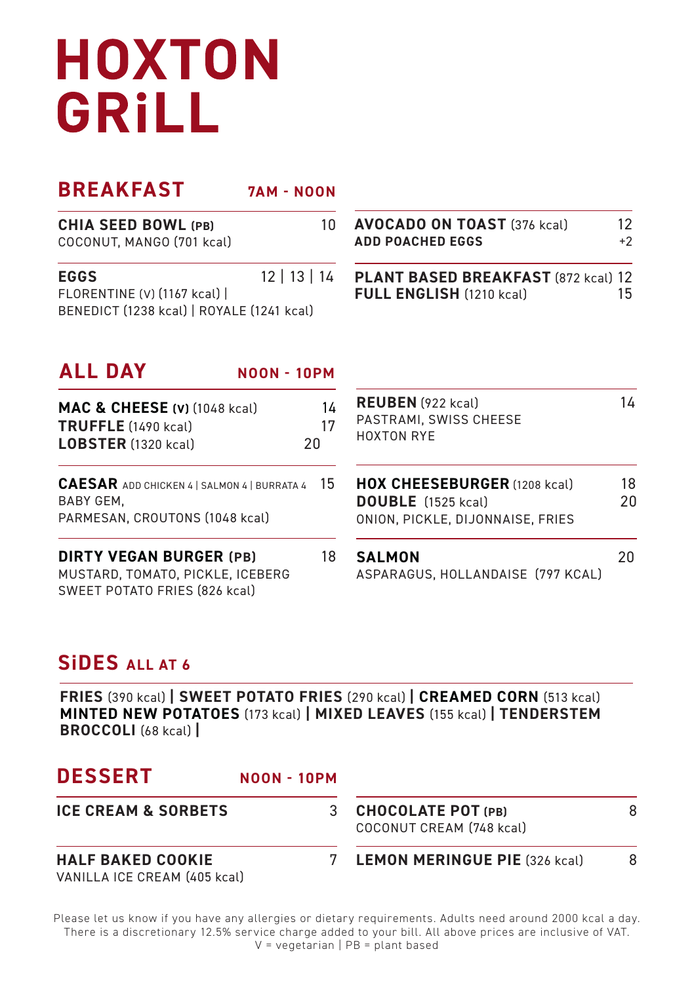# **HOXTON** GRILL

| <b>BREAKFAST</b>                                                                                    | <b>7AM - NOON</b>  |                                                                                               |            |
|-----------------------------------------------------------------------------------------------------|--------------------|-----------------------------------------------------------------------------------------------|------------|
| <b>CHIA SEED BOWL (PB)</b><br>COCONUT, MANGO (701 kcal)                                             | 10                 | <b>AVOCADO ON TOAST (376 kcal)</b><br><b>ADD POACHED EGGS</b>                                 | 12<br>$+2$ |
| <b>EGGS</b><br>FLORENTINE (V) (1167 kcal)  <br>BENEDICT (1238 kcal)   ROYALE (1241 kcal)            | 12   13   14       | PLANT BASED BREAKFAST (872 kcal) 12<br>FULL ENGLISH (1210 kcal)                               | 15         |
| <b>ALL DAY</b>                                                                                      | <b>NOON - 10PM</b> |                                                                                               |            |
| <b>MAC &amp; CHEESE (v) (1048 kcal)</b><br>TRUFFLE (1490 kcal)<br><b>LOBSTER</b> (1320 kcal)        | 14<br>17<br>20     | <b>REUBEN</b> (922 kcal)<br>PASTRAMI, SWISS CHEESE<br><b>HOXTON RYE</b>                       | 14         |
| <b>CAESAR</b> ADD CHICKEN 4   SALMON 4   BURRATA 4<br>BABY GEM.<br>PARMESAN, CROUTONS (1048 kcal)   | 15                 | <b>HOX CHEESEBURGER</b> (1208 kcal)<br>DOUBLE (1525 kcal)<br>ONION, PICKLE, DIJONNAISE, FRIES | 18<br>20   |
| <b>DIRTY VEGAN BURGER (PB)</b><br>MUSTARD, TOMATO, PICKLE, ICEBERG<br>SWEET POTATO FRIES (826 kcal) | 18                 | <b>SALMON</b><br>ASPARAGUS, HOLLANDAISE (797 KCAL)                                            | 20         |

#### **SiDES ALL AT 6**

**FRIES** (390 kcal) **| SWEET POTATO FRIES** (290 kcal) **| CREAMED CORN** (513 kcal) **MINTED NEW POTATOES** (173 kcal) **| MIXED LEAVES** (155 kcal) **| TENDERSTEM BROCCOLI** (68 kcal) **|** 

| <b>DESSERT</b>                                           | <b>NOON - 10PM</b> |                                                       |   |
|----------------------------------------------------------|--------------------|-------------------------------------------------------|---|
| <b>ICE CREAM &amp; SORBETS</b>                           | 3                  | <b>CHOCOLATE POT (PB)</b><br>COCONUT CREAM (748 kcal) | 8 |
| <b>HALF BAKED COOKIE</b><br>VANILLA ICE CREAM (405 kcal) |                    | 7 LEMON MERINGUE PIE (326 kcal)                       | 8 |

Please let us know if you have any allergies or dietary requirements. Adults need around 2000 kcal a day. There is a discretionary 12.5% service charge added to your bill. All above prices are inclusive of VAT.  $V = v$ egetarian | PB = plant based